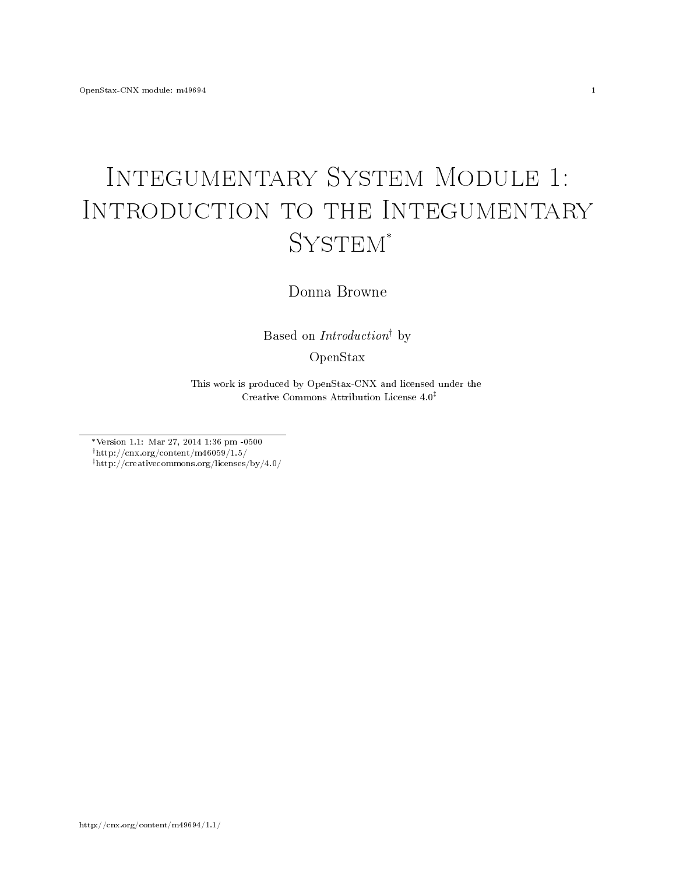## Integumentary System Module 1: Introduction to the Integumentary SYSTEM\*

Donna Browne

Based on  $Introduction<sup>†</sup>$  by

OpenStax

This work is produced by OpenStax-CNX and licensed under the Creative Commons Attribution License 4.0

\*Version 1.1: Mar 27, 2014 1:36 pm -0500  $^{\dagger}$ http://cnx.org/content/m46059/1.5/

http://creativecommons.org/licenses/by/4.0/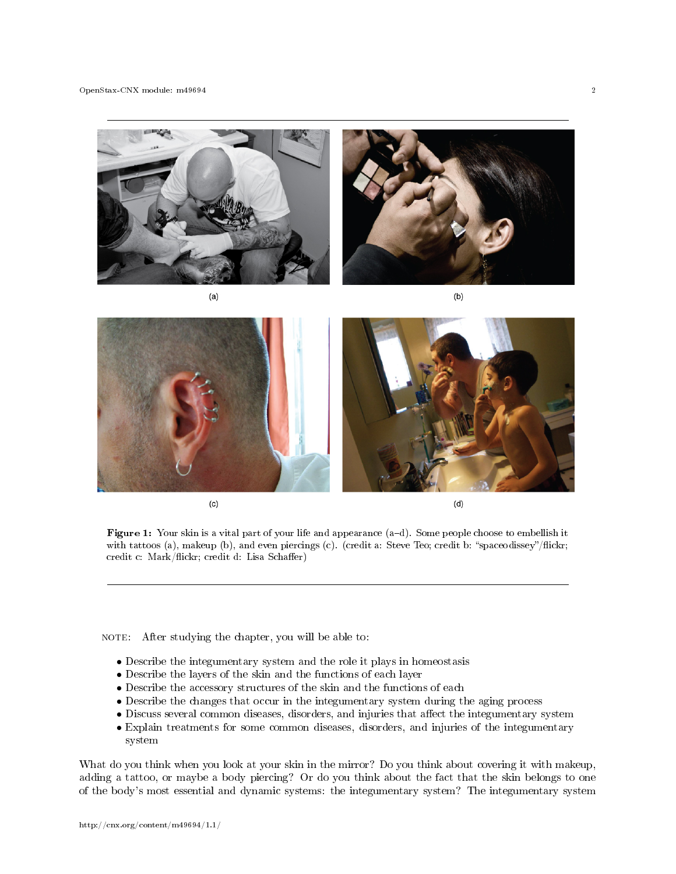



Figure 1: Your skin is a vital part of your life and appearance (a-d). Some people choose to embellish it with tattoos (a), makeup (b), and even piercings (c). (credit a: Steve Teo; credit b: "spaceodissey"/flickr; credit c: Mark/flickr; credit d: Lisa Schaffer)

NOTE: After studying the chapter, you will be able to:

- Describe the integumentary system and the role it plays in homeostasis
- Describe the layers of the skin and the functions of each layer
- Describe the accessory structures of the skin and the functions of each
- Describe the changes that occur in the integumentary system during the aging process
- Discuss several common diseases, disorders, and injuries that affect the integumentary system
- Explain treatments for some common diseases, disorders, and injuries of the integumentary system

What do you think when you look at your skin in the mirror? Do you think about covering it with makeup, adding a tattoo, or maybe a body piercing? Or do you think about the fact that the skin belongs to one of the body's most essential and dynamic systems: the integumentary system? The integumentary system